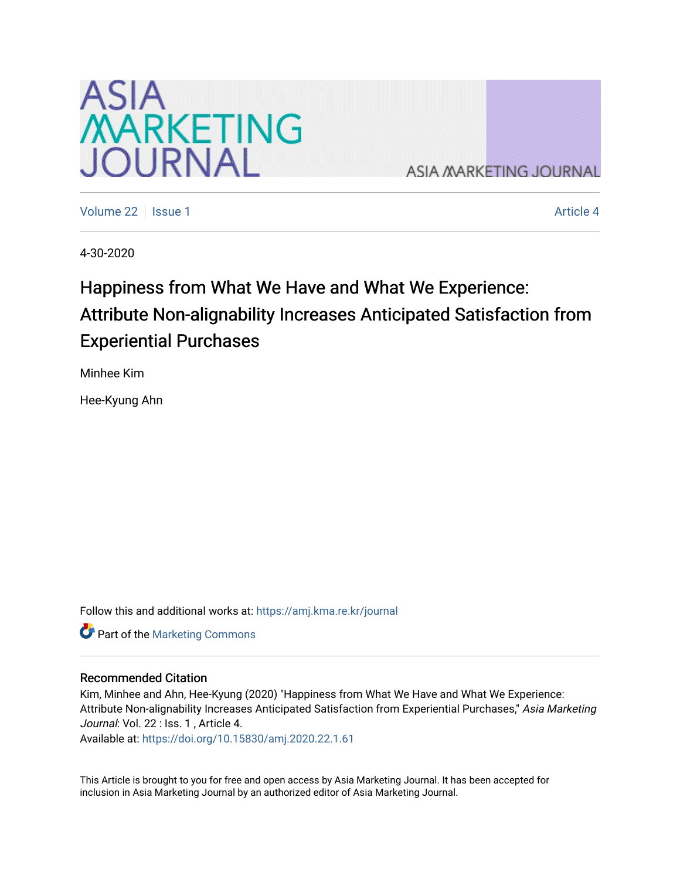

**ASIA MARKETING JOURNAL** 

[Volume 22](https://amj.kma.re.kr/journal/vol22) | [Issue 1](https://amj.kma.re.kr/journal/vol22/iss1) Article 4

4-30-2020

# Happiness from What We Have and What We Experience: Attribute Non-alignability Increases Anticipated Satisfaction from Experiential Purchases

Minhee Kim

Hee-Kyung Ahn

Follow this and additional works at: [https://amj.kma.re.kr/journal](https://amj.kma.re.kr/journal?utm_source=amj.kma.re.kr%2Fjournal%2Fvol22%2Fiss1%2F4&utm_medium=PDF&utm_campaign=PDFCoverPages) 

**Part of the [Marketing Commons](http://network.bepress.com/hgg/discipline/638?utm_source=amj.kma.re.kr%2Fjournal%2Fvol22%2Fiss1%2F4&utm_medium=PDF&utm_campaign=PDFCoverPages)** 

#### Recommended Citation

Kim, Minhee and Ahn, Hee-Kyung (2020) "Happiness from What We Have and What We Experience: Attribute Non-alignability Increases Anticipated Satisfaction from Experiential Purchases," Asia Marketing Journal: Vol. 22 : Iss. 1, Article 4.

Available at:<https://doi.org/10.15830/amj.2020.22.1.61>

This Article is brought to you for free and open access by Asia Marketing Journal. It has been accepted for inclusion in Asia Marketing Journal by an authorized editor of Asia Marketing Journal.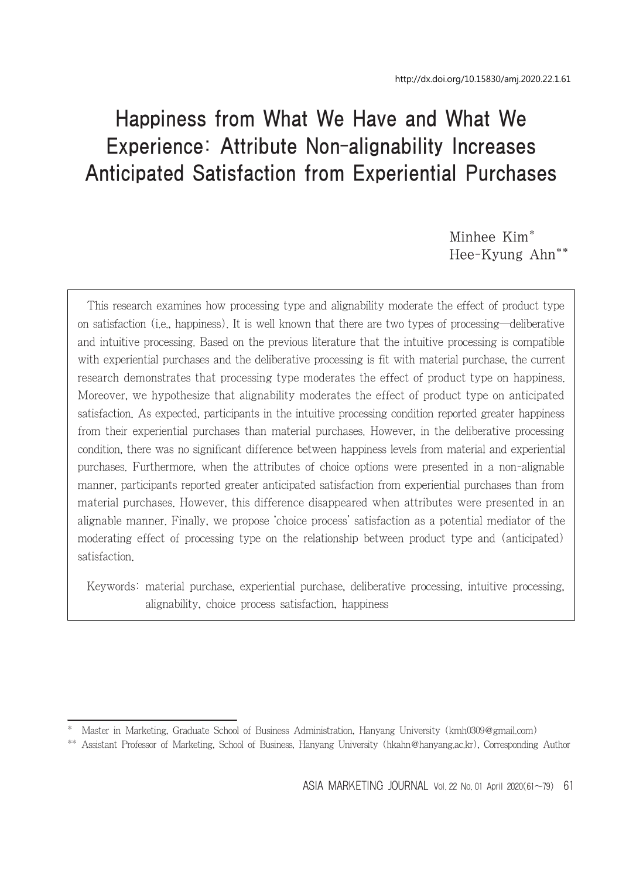# Happiness from What We Have and What We Experience: Attribute Non-alignability Increases Anticipated Satisfaction from Experiential Purchases

Minhee Kim\* Hee-Kyung Ahn\*\*

This research examines how processing type and alignability moderate the effect of product type on satisfaction (i.e., happiness). It is well known that there are two types of processing―deliberative and intuitive processing. Based on the previous literature that the intuitive processing is compatible with experiential purchases and the deliberative processing is fit with material purchase, the current research demonstrates that processing type moderates the effect of product type on happiness. Moreover, we hypothesize that alignability moderates the effect of product type on anticipated satisfaction. As expected, participants in the intuitive processing condition reported greater happiness from their experiential purchases than material purchases. However, in the deliberative processing condition, there was no significant difference between happiness levels from material and experiential purchases. Furthermore, when the attributes of choice options were presented in a non-alignable manner, participants reported greater anticipated satisfaction from experiential purchases than from material purchases. However, this difference disappeared when attributes were presented in an alignable manner. Finally, we propose 'choice process' satisfaction as a potential mediator of the moderating effect of processing type on the relationship between product type and (anticipated) satisfaction.

Keywords: material purchase, experiential purchase, deliberative processing, intuitive processing, alignability, choice process satisfaction, happiness

<sup>\*</sup> Master in Marketing, Graduate School of Business Administration, Hanyang University (kmh0309@gmail.com)

<sup>\*\*</sup> Assistant Professor of Marketing, School of Business, Hanyang University (hkahn@hanyang.ac.kr), Corresponding Author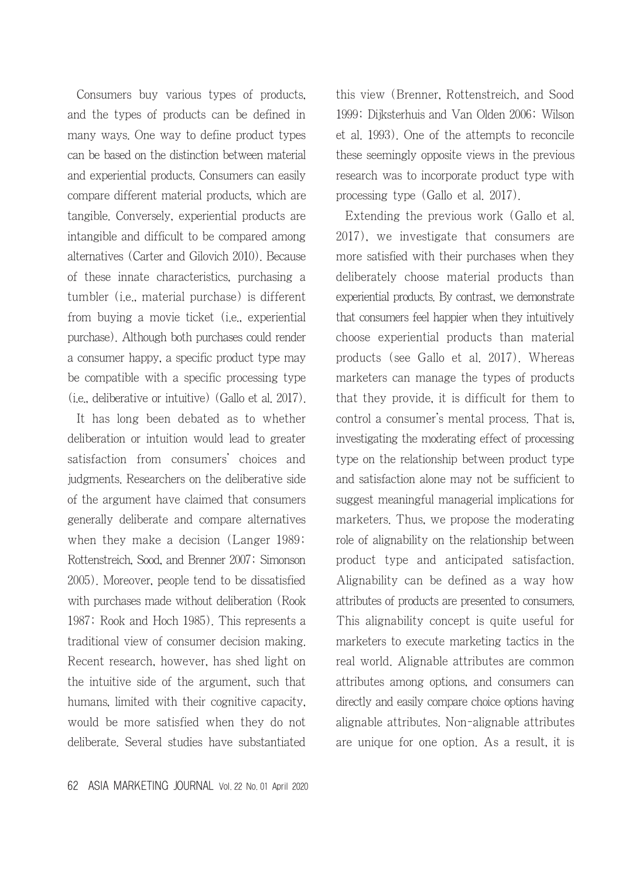Consumers buy various types of products, and the types of products can be defined in many ways. One way to define product types can be based on the distinction between material and experiential products. Consumers can easily compare different material products, which are tangible. Conversely, experiential products are intangible and difficult to be compared among alternatives (Carter and Gilovich 2010). Because of these innate characteristics, purchasing a tumbler (i.e., material purchase) is different from buying a movie ticket (i.e., experiential purchase). Although both purchases could render a consumer happy, a specific product type may be compatible with a specific processing type (i.e., deliberative or intuitive) (Gallo et al. 2017).

It has long been debated as to whether deliberation or intuition would lead to greater satisfaction from consumers' choices and judgments. Researchers on the deliberative side of the argument have claimed that consumers generally deliberate and compare alternatives when they make a decision (Langer 1989; Rottenstreich, Sood, and Brenner 2007; Simonson 2005). Moreover, people tend to be dissatisfied with purchases made without deliberation (Rook 1987; Rook and Hoch 1985). This represents a traditional view of consumer decision making. Recent research, however, has shed light on the intuitive side of the argument, such that humans, limited with their cognitive capacity, would be more satisfied when they do not deliberate. Several studies have substantiated

this view (Brenner, Rottenstreich, and Sood 1999; Dijksterhuis and Van Olden 2006; Wilson et al. 1993). One of the attempts to reconcile these seemingly opposite views in the previous research was to incorporate product type with processing type (Gallo et al. 2017).

Extending the previous work (Gallo et al. 2017), we investigate that consumers are more satisfied with their purchases when they deliberately choose material products than experiential products. By contrast, we demonstrate that consumers feel happier when they intuitively choose experiential products than material products (see Gallo et al. 2017). Whereas marketers can manage the types of products that they provide, it is difficult for them to control a consumer's mental process. That is, investigating the moderating effect of processing type on the relationship between product type and satisfaction alone may not be sufficient to suggest meaningful managerial implications for marketers. Thus, we propose the moderating role of alignability on the relationship between product type and anticipated satisfaction. Alignability can be defined as a way how attributes of products are presented to consumers. This alignability concept is quite useful for marketers to execute marketing tactics in the real world. Alignable attributes are common attributes among options, and consumers can directly and easily compare choice options having alignable attributes. Non-alignable attributes are unique for one option. As a result, it is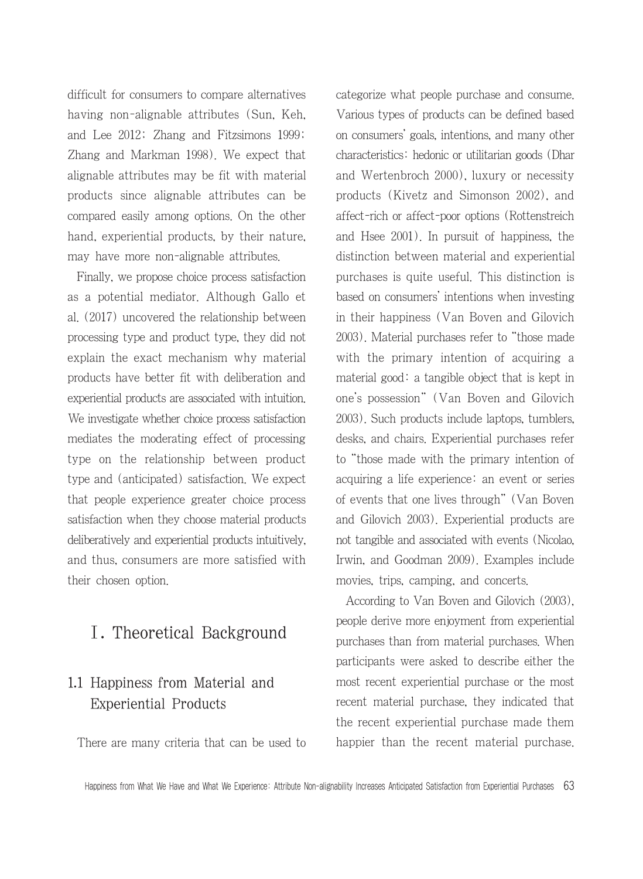difficult for consumers to compare alternatives having non-alignable attributes (Sun, Keh, and Lee 2012; Zhang and Fitzsimons 1999; Zhang and Markman 1998). We expect that alignable attributes may be fit with material products since alignable attributes can be compared easily among options. On the other hand, experiential products, by their nature, may have more non-alignable attributes.

Finally, we propose choice process satisfaction as a potential mediator. Although Gallo et al. (2017) uncovered the relationship between processing type and product type, they did not explain the exact mechanism why material products have better fit with deliberation and experiential products are associated with intuition. We investigate whether choice process satisfaction mediates the moderating effect of processing type on the relationship between product type and (anticipated) satisfaction. We expect that people experience greater choice process satisfaction when they choose material products deliberatively and experiential products intuitively, and thus, consumers are more satisfied with their chosen option.

# Ⅰ. Theoretical Background

# 1.1 Happiness from Material and Experiential Products

There are many criteria that can be used to

categorize what people purchase and consume. Various types of products can be defined based on consumers' goals, intentions, and many other characteristics: hedonic or utilitarian goods (Dhar and Wertenbroch 2000), luxury or necessity products (Kivetz and Simonson 2002), and affect-rich or affect-poor options (Rottenstreich and Hsee 2001). In pursuit of happiness, the distinction between material and experiential purchases is quite useful. This distinction is based on consumers' intentions when investing in their happiness (Van Boven and Gilovich 2003). Material purchases refer to "those made with the primary intention of acquiring a material good: a tangible object that is kept in one's possession" (Van Boven and Gilovich 2003). Such products include laptops, tumblers, desks, and chairs. Experiential purchases refer to "those made with the primary intention of acquiring a life experience: an event or series of events that one lives through" (Van Boven and Gilovich 2003). Experiential products are not tangible and associated with events (Nicolao, Irwin, and Goodman 2009). Examples include movies, trips, camping, and concerts.

According to Van Boven and Gilovich (2003), people derive more enjoyment from experiential purchases than from material purchases. When participants were asked to describe either the most recent experiential purchase or the most recent material purchase, they indicated that the recent experiential purchase made them happier than the recent material purchase.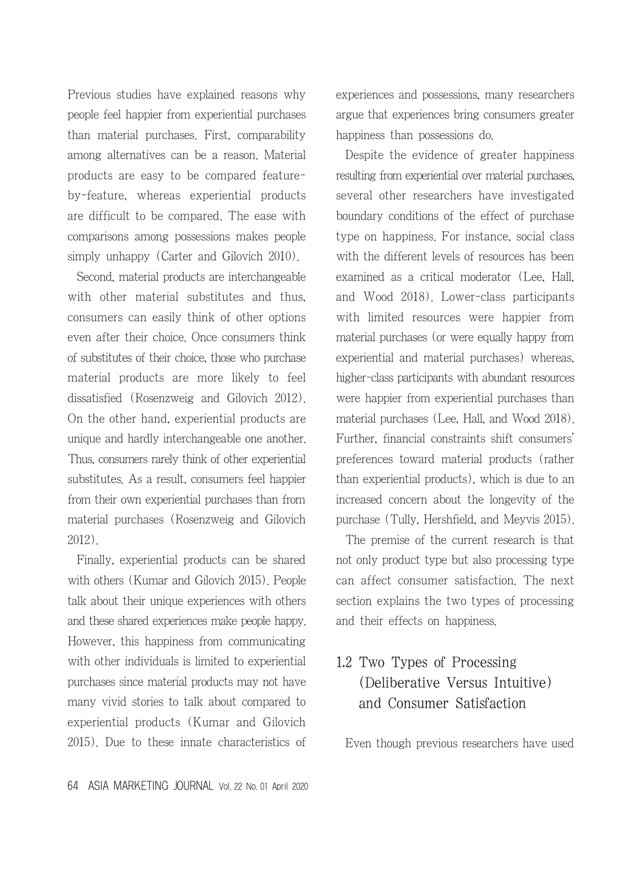Previous studies have explained reasons why people feel happier from experiential purchases than material purchases. First, comparability among alternatives can be a reason. Material products are easy to be compared featureby-feature, whereas experiential products are difficult to be compared. The ease with comparisons among possessions makes people simply unhappy (Carter and Gilovich 2010).

Second, material products are interchangeable with other material substitutes and thus, consumers can easily think of other options even after their choice. Once consumers think of substitutes of their choice, those who purchase material products are more likely to feel dissatisfied (Rosenzweig and Gilovich 2012). On the other hand, experiential products are unique and hardly interchangeable one another. Thus, consumers rarely think of other experiential substitutes. As a result, consumers feel happier from their own experiential purchases than from material purchases (Rosenzweig and Gilovich 2012).

Finally, experiential products can be shared with others (Kumar and Gilovich 2015). People talk about their unique experiences with others and these shared experiences make people happy. However, this happiness from communicating with other individuals is limited to experiential purchases since material products may not have many vivid stories to talk about compared to experiential products (Kumar and Gilovich 2015). Due to these innate characteristics of

64 ASIA MARKETING JOURNAL Vol. 22 No. 01 April 2020

experiences and possessions, many researchers argue that experiences bring consumers greater happiness than possessions do.

Despite the evidence of greater happiness resulting from experiential over material purchases, several other researchers have investigated boundary conditions of the effect of purchase type on happiness. For instance, social class with the different levels of resources has been examined as a critical moderator (Lee, Hall, and Wood 2018). Lower-class participants with limited resources were happier from material purchases (or were equally happy from experiential and material purchases) whereas, higher-class participants with abundant resources were happier from experiential purchases than material purchases (Lee, Hall, and Wood 2018). Further, financial constraints shift consumers' preferences toward material products (rather than experiential products), which is due to an increased concern about the longevity of the purchase (Tully, Hershfield, and Meyvis 2015).

The premise of the current research is that not only product type but also processing type can affect consumer satisfaction. The next section explains the two types of processing and their effects on happiness.

# 1.2 Two Types of Processing (Deliberative Versus Intuitive) and Consumer Satisfaction

Even though previous researchers have used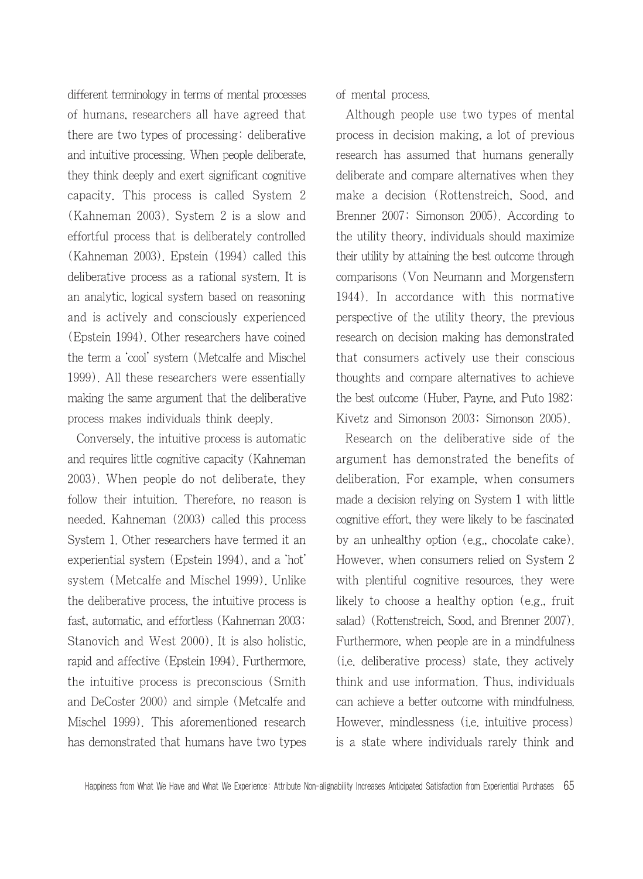different terminology in terms of mental processes of humans, researchers all have agreed that there are two types of processing: deliberative and intuitive processing. When people deliberate, they think deeply and exert significant cognitive capacity. This process is called System 2 (Kahneman 2003). System 2 is a slow and effortful process that is deliberately controlled (Kahneman 2003). Epstein (1994) called this deliberative process as a rational system. It is an analytic, logical system based on reasoning and is actively and consciously experienced (Epstein 1994). Other researchers have coined the term a 'cool' system (Metcalfe and Mischel 1999). All these researchers were essentially making the same argument that the deliberative process makes individuals think deeply.

Conversely, the intuitive process is automatic and requires little cognitive capacity (Kahneman 2003). When people do not deliberate, they follow their intuition. Therefore, no reason is needed. Kahneman (2003) called this process System 1. Other researchers have termed it an experiential system (Epstein 1994), and a 'hot' system (Metcalfe and Mischel 1999). Unlike the deliberative process, the intuitive process is fast, automatic, and effortless (Kahneman 2003; Stanovich and West 2000). It is also holistic, rapid and affective (Epstein 1994). Furthermore, the intuitive process is preconscious (Smith and DeCoster 2000) and simple (Metcalfe and Mischel 1999). This aforementioned research has demonstrated that humans have two types of mental process.

Although people use two types of mental process in decision making, a lot of previous research has assumed that humans generally deliberate and compare alternatives when they make a decision (Rottenstreich, Sood, and Brenner 2007; Simonson 2005). According to the utility theory, individuals should maximize their utility by attaining the best outcome through comparisons (Von Neumann and Morgenstern 1944). In accordance with this normative perspective of the utility theory, the previous research on decision making has demonstrated that consumers actively use their conscious thoughts and compare alternatives to achieve the best outcome (Huber, Payne, and Puto 1982; Kivetz and Simonson 2003; Simonson 2005).

Research on the deliberative side of the argument has demonstrated the benefits of deliberation. For example, when consumers made a decision relying on System 1 with little cognitive effort, they were likely to be fascinated by an unhealthy option (e.g., chocolate cake). However, when consumers relied on System 2 with plentiful cognitive resources, they were likely to choose a healthy option (e.g., fruit salad) (Rottenstreich, Sood, and Brenner 2007). Furthermore, when people are in a mindfulness (i.e. deliberative process) state, they actively think and use information. Thus, individuals can achieve a better outcome with mindfulness. However, mindlessness (i.e. intuitive process) is a state where individuals rarely think and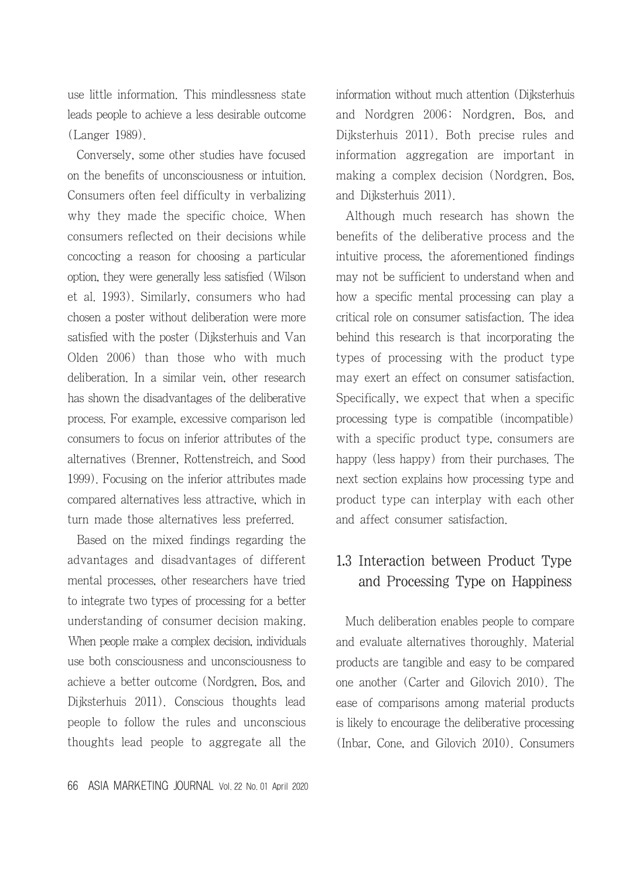use little information. This mindlessness state leads people to achieve a less desirable outcome (Langer 1989).

Conversely, some other studies have focused on the benefits of unconsciousness or intuition. Consumers often feel difficulty in verbalizing why they made the specific choice. When consumers reflected on their decisions while concocting a reason for choosing a particular option, they were generally less satisfied (Wilson et al. 1993). Similarly, consumers who had chosen a poster without deliberation were more satisfied with the poster (Dijksterhuis and Van Olden 2006) than those who with much deliberation. In a similar vein, other research has shown the disadvantages of the deliberative process. For example, excessive comparison led consumers to focus on inferior attributes of the alternatives (Brenner, Rottenstreich, and Sood 1999). Focusing on the inferior attributes made compared alternatives less attractive, which in turn made those alternatives less preferred.

Based on the mixed findings regarding the advantages and disadvantages of different mental processes, other researchers have tried to integrate two types of processing for a better understanding of consumer decision making. When people make a complex decision, individuals use both consciousness and unconsciousness to achieve a better outcome (Nordgren, Bos, and Dijksterhuis 2011). Conscious thoughts lead people to follow the rules and unconscious thoughts lead people to aggregate all the information without much attention (Dijksterhuis and Nordgren 2006; Nordgren, Bos, and Dijksterhuis 2011). Both precise rules and information aggregation are important in making a complex decision (Nordgren, Bos, and Dijksterhuis 2011).

Although much research has shown the benefits of the deliberative process and the intuitive process, the aforementioned findings may not be sufficient to understand when and how a specific mental processing can play a critical role on consumer satisfaction. The idea behind this research is that incorporating the types of processing with the product type may exert an effect on consumer satisfaction. Specifically, we expect that when a specific processing type is compatible (incompatible) with a specific product type, consumers are happy (less happy) from their purchases. The next section explains how processing type and product type can interplay with each other and affect consumer satisfaction.

## 1.3 Interaction between Product Type and Processing Type on Happiness

Much deliberation enables people to compare and evaluate alternatives thoroughly. Material products are tangible and easy to be compared one another (Carter and Gilovich 2010). The ease of comparisons among material products is likely to encourage the deliberative processing (Inbar, Cone, and Gilovich 2010). Consumers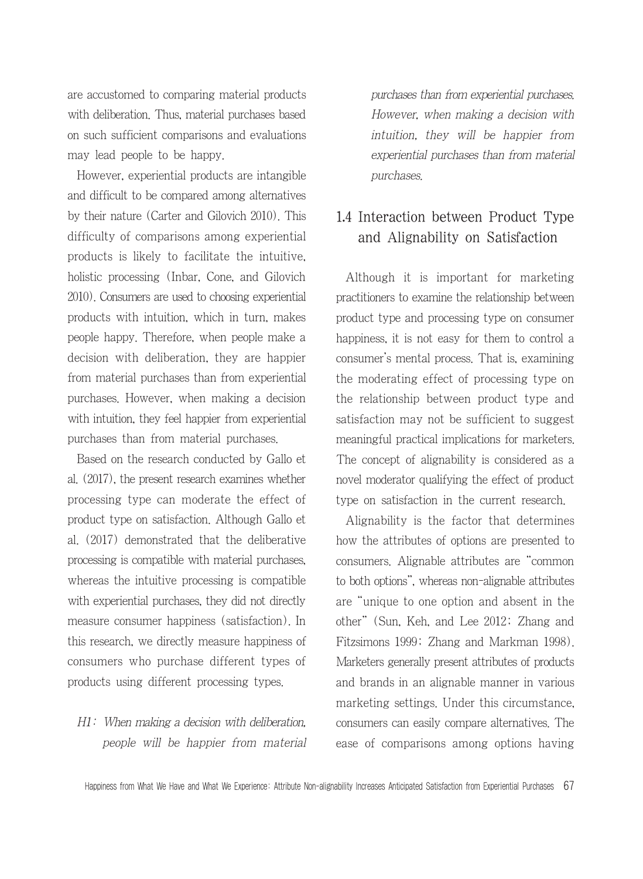are accustomed to comparing material products with deliberation. Thus, material purchases based on such sufficient comparisons and evaluations may lead people to be happy.

However, experiential products are intangible and difficult to be compared among alternatives by their nature (Carter and Gilovich 2010). This difficulty of comparisons among experiential products is likely to facilitate the intuitive, holistic processing (Inbar, Cone, and Gilovich 2010). Consumers are used to choosing experiential products with intuition, which in turn, makes people happy. Therefore, when people make a decision with deliberation, they are happier from material purchases than from experiential purchases. However, when making a decision with intuition, they feel happier from experiential purchases than from material purchases.

Based on the research conducted by Gallo et al. (2017), the present research examines whether processing type can moderate the effect of product type on satisfaction. Although Gallo et al. (2017) demonstrated that the deliberative processing is compatible with material purchases, whereas the intuitive processing is compatible with experiential purchases, they did not directly measure consumer happiness (satisfaction). In this research, we directly measure happiness of consumers who purchase different types of products using different processing types.

### H1: When making a decision with deliberation, people will be happier from material

purchases than from experiential purchases. However, when making a decision with intuition, they will be happier from experiential purchases than from material purchases.

## 1.4 Interaction between Product Type and Alignability on Satisfaction

Although it is important for marketing practitioners to examine the relationship between product type and processing type on consumer happiness, it is not easy for them to control a consumer's mental process. That is, examining the moderating effect of processing type on the relationship between product type and satisfaction may not be sufficient to suggest meaningful practical implications for marketers. The concept of alignability is considered as a novel moderator qualifying the effect of product type on satisfaction in the current research.

Alignability is the factor that determines how the attributes of options are presented to consumers. Alignable attributes are "common to both options", whereas non-alignable attributes are "unique to one option and absent in the other" (Sun, Keh, and Lee 2012; Zhang and Fitzsimons 1999; Zhang and Markman 1998). Marketers generally present attributes of products and brands in an alignable manner in various marketing settings. Under this circumstance, consumers can easily compare alternatives. The ease of comparisons among options having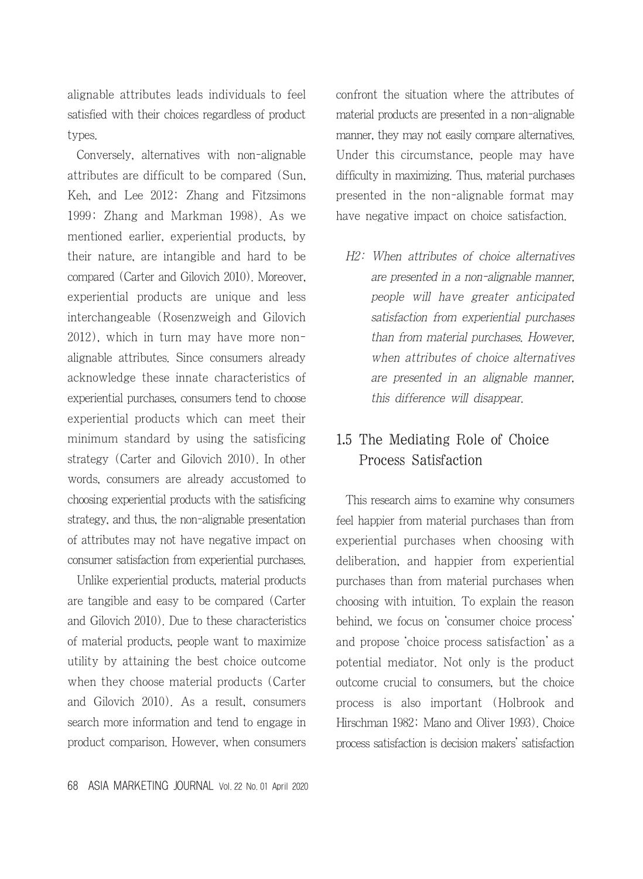alignable attributes leads individuals to feel satisfied with their choices regardless of product types.

Conversely, alternatives with non-alignable attributes are difficult to be compared (Sun, Keh, and Lee 2012; Zhang and Fitzsimons 1999; Zhang and Markman 1998). As we mentioned earlier, experiential products, by their nature, are intangible and hard to be compared (Carter and Gilovich 2010). Moreover, experiential products are unique and less interchangeable (Rosenzweigh and Gilovich 2012), which in turn may have more nonalignable attributes. Since consumers already acknowledge these innate characteristics of experiential purchases, consumers tend to choose experiential products which can meet their minimum standard by using the satisficing strategy (Carter and Gilovich 2010). In other words, consumers are already accustomed to choosing experiential products with the satisficing strategy, and thus, the non-alignable presentation of attributes may not have negative impact on consumer satisfaction from experiential purchases.

Unlike experiential products, material products are tangible and easy to be compared (Carter and Gilovich 2010). Due to these characteristics of material products, people want to maximize utility by attaining the best choice outcome when they choose material products (Carter and Gilovich 2010). As a result, consumers search more information and tend to engage in product comparison. However, when consumers confront the situation where the attributes of material products are presented in a non-alignable manner, they may not easily compare alternatives. Under this circumstance, people may have difficulty in maximizing. Thus, material purchases presented in the non-alignable format may have negative impact on choice satisfaction.

H2: When attributes of choice alternatives are presented in a non-alignable manner, people will have greater anticipated satisfaction from experiential purchases than from material purchases. However, when attributes of choice alternatives are presented in an alignable manner, this difference will disappear.

## 1.5 The Mediating Role of Choice Process Satisfaction

This research aims to examine why consumers feel happier from material purchases than from experiential purchases when choosing with deliberation, and happier from experiential purchases than from material purchases when choosing with intuition. To explain the reason behind, we focus on 'consumer choice process' and propose 'choice process satisfaction' as a potential mediator. Not only is the product outcome crucial to consumers, but the choice process is also important (Holbrook and Hirschman 1982; Mano and Oliver 1993). Choice process satisfaction is decision makers' satisfaction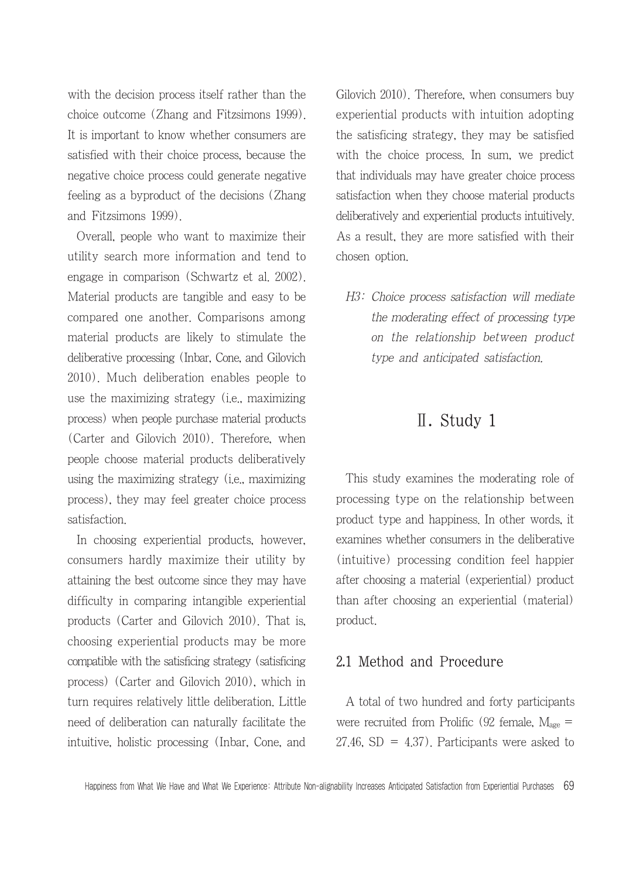with the decision process itself rather than the choice outcome (Zhang and Fitzsimons 1999). It is important to know whether consumers are satisfied with their choice process, because the negative choice process could generate negative feeling as a byproduct of the decisions (Zhang and Fitzsimons 1999).

Overall, people who want to maximize their utility search more information and tend to engage in comparison (Schwartz et al. 2002). Material products are tangible and easy to be compared one another. Comparisons among material products are likely to stimulate the deliberative processing (Inbar, Cone, and Gilovich 2010). Much deliberation enables people to use the maximizing strategy (i.e., maximizing process) when people purchase material products (Carter and Gilovich 2010). Therefore, when people choose material products deliberatively using the maximizing strategy (i.e., maximizing process), they may feel greater choice process satisfaction.

In choosing experiential products, however, consumers hardly maximize their utility by attaining the best outcome since they may have difficulty in comparing intangible experiential products (Carter and Gilovich 2010). That is, choosing experiential products may be more compatible with the satisficing strategy (satisficing process) (Carter and Gilovich 2010), which in turn requires relatively little deliberation. Little need of deliberation can naturally facilitate the intuitive, holistic processing (Inbar, Cone, and Gilovich 2010). Therefore, when consumers buy experiential products with intuition adopting the satisficing strategy, they may be satisfied with the choice process. In sum, we predict that individuals may have greater choice process satisfaction when they choose material products deliberatively and experiential products intuitively. As a result, they are more satisfied with their chosen option.

H3: Choice process satisfaction will mediate the moderating effect of processing type on the relationship between product type and anticipated satisfaction.

## Ⅱ. Study 1

This study examines the moderating role of processing type on the relationship between product type and happiness. In other words, it examines whether consumers in the deliberative (intuitive) processing condition feel happier after choosing a material (experiential) product than after choosing an experiential (material) product.

#### 2.1 Method and Procedure

A total of two hundred and forty participants were recruited from Prolific (92 female,  $M_{\text{age}} =$  $27.46$ , SD =  $4.37$ ). Participants were asked to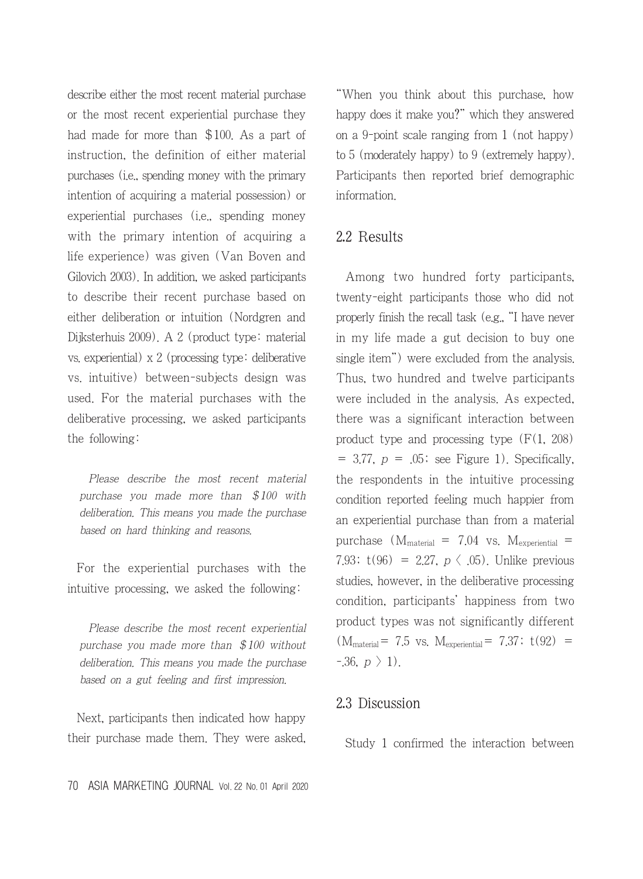describe either the most recent material purchase or the most recent experiential purchase they had made for more than \$100. As a part of instruction, the definition of either material purchases (i.e., spending money with the primary intention of acquiring a material possession) or experiential purchases (i.e., spending money with the primary intention of acquiring a life experience) was given (Van Boven and Gilovich 2003). In addition, we asked participants to describe their recent purchase based on either deliberation or intuition (Nordgren and Dijksterhuis 2009). A 2 (product type: material vs. experiential) x 2 (processing type: deliberative vs. intuitive) between-subjects design was used. For the material purchases with the deliberative processing, we asked participants the following:

Please describe the most recent material purchase you made more than \$100 with deliberation. This means you made the purchase based on hard thinking and reasons.

For the experiential purchases with the intuitive processing, we asked the following:

Please describe the most recent experiential purchase you made more than \$100 without deliberation. This means you made the purchase based on a gut feeling and first impression.

Next, participants then indicated how happy their purchase made them. They were asked, "When you think about this purchase, how happy does it make you?" which they answered on a 9-point scale ranging from 1 (not happy) to 5 (moderately happy) to 9 (extremely happy). Participants then reported brief demographic information.

#### 2.2 Results

Among two hundred forty participants, twenty-eight participants those who did not properly finish the recall task (e.g., "I have never in my life made a gut decision to buy one single item") were excluded from the analysis. Thus, two hundred and twelve participants were included in the analysis. As expected, there was a significant interaction between product type and processing type  $(F(1, 208))$  $= 3.77$ ,  $p = .05$ ; see Figure 1). Specifically, the respondents in the intuitive processing condition reported feeling much happier from an experiential purchase than from a material purchase  $(M_{\text{material}} = 7.04 \text{ vs. } M_{\text{experimental}} =$ 7.93;  $t(96) = 2.27$ ,  $p \langle .05$ ). Unlike previous studies, however, in the deliberative processing condition, participants' happiness from two product types was not significantly different  $(M_{\text{material}}= 7.5 \text{ vs. } M_{\text{experimental}}= 7.37; t(92) =$  $-36, p \nbrace{1}$ .

#### 2.3 Discussion

Study 1 confirmed the interaction between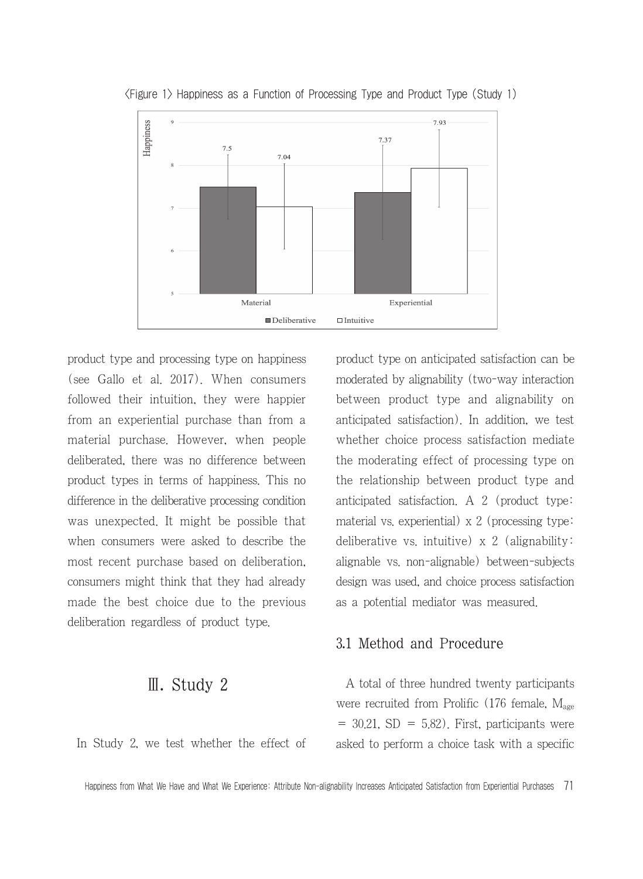

<Figure 1> Happiness as a Function of Processing Type and Product Type (Study 1)

product type and processing type on happiness (see Gallo et al. 2017). When consumers followed their intuition, they were happier from an experiential purchase than from a material purchase. However, when people deliberated, there was no difference between product types in terms of happiness. This no difference in the deliberative processing condition was unexpected. It might be possible that when consumers were asked to describe the most recent purchase based on deliberation, consumers might think that they had already made the best choice due to the previous deliberation regardless of product type.

## Ⅲ. Study 2

In Study 2, we test whether the effect of

product type on anticipated satisfaction can be moderated by alignability (two-way interaction between product type and alignability on anticipated satisfaction). In addition, we test whether choice process satisfaction mediate the moderating effect of processing type on the relationship between product type and anticipated satisfaction. A 2 (product type: material vs. experiential) x 2 (processing type: deliberative vs. intuitive)  $x$  2 (alignability: alignable vs. non-alignable) between-subjects design was used, and choice process satisfaction as a potential mediator was measured.

#### 3.1 Method and Procedure

A total of three hundred twenty participants were recruited from Prolific  $(176 \text{ female}, M_{\text{age}})$  $= 30.21$ , SD  $= 5.82$ ). First, participants were asked to perform a choice task with a specific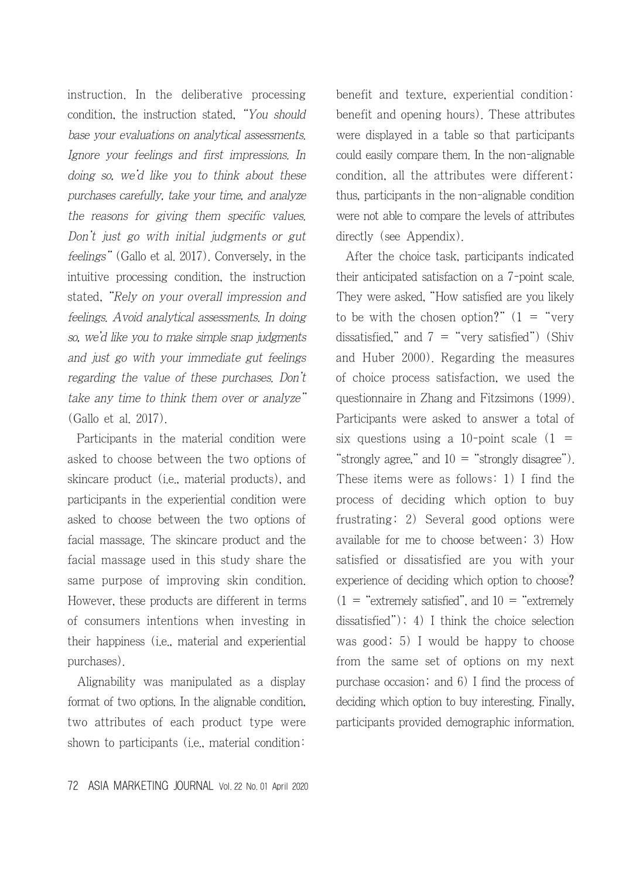instruction. In the deliberative processing condition, the instruction stated, "You should base your evaluations on analytical assessments. Ignore your feelings and first impressions. In doing so, we'd like you to think about these purchases carefully, take your time, and analyze the reasons for giving them specific values. Don't just go with initial judgments or gut feelings" (Gallo et al. 2017). Conversely, in the intuitive processing condition, the instruction stated, "Rely on your overall impression and feelings. Avoid analytical assessments. In doing so, we'd like you to make simple snap judgments and just go with your immediate gut feelings regarding the value of these purchases. Don't take any time to think them over or analyze" (Gallo et al. 2017).

Participants in the material condition were asked to choose between the two options of skincare product (i.e., material products), and participants in the experiential condition were asked to choose between the two options of facial massage. The skincare product and the facial massage used in this study share the same purpose of improving skin condition. However, these products are different in terms of consumers intentions when investing in their happiness (i.e., material and experiential purchases).

Alignability was manipulated as a display format of two options. In the alignable condition, two attributes of each product type were shown to participants (i.e., material condition:

benefit and texture, experiential condition: benefit and opening hours). These attributes were displayed in a table so that participants could easily compare them. In the non-alignable condition, all the attributes were different; thus, participants in the non-alignable condition were not able to compare the levels of attributes directly (see Appendix).

After the choice task, participants indicated their anticipated satisfaction on a 7-point scale. They were asked, "How satisfied are you likely to be with the chosen option?"  $(1 - "very$ dissatisfied," and  $7 =$  "very satisfied") (Shiv and Huber 2000). Regarding the measures of choice process satisfaction, we used the questionnaire in Zhang and Fitzsimons (1999). Participants were asked to answer a total of six questions using a 10-point scale  $(1 =$ "strongly agree," and  $10 =$  "strongly disagree"). These items were as follows: 1) I find the process of deciding which option to buy frustrating; 2) Several good options were available for me to choose between; 3) How satisfied or dissatisfied are you with your experience of deciding which option to choose?  $(1 =$  "extremely satisfied", and  $10 =$  "extremely" dissatisfied"); 4) I think the choice selection was good; 5) I would be happy to choose from the same set of options on my next purchase occasion; and 6) I find the process of deciding which option to buy interesting. Finally, participants provided demographic information.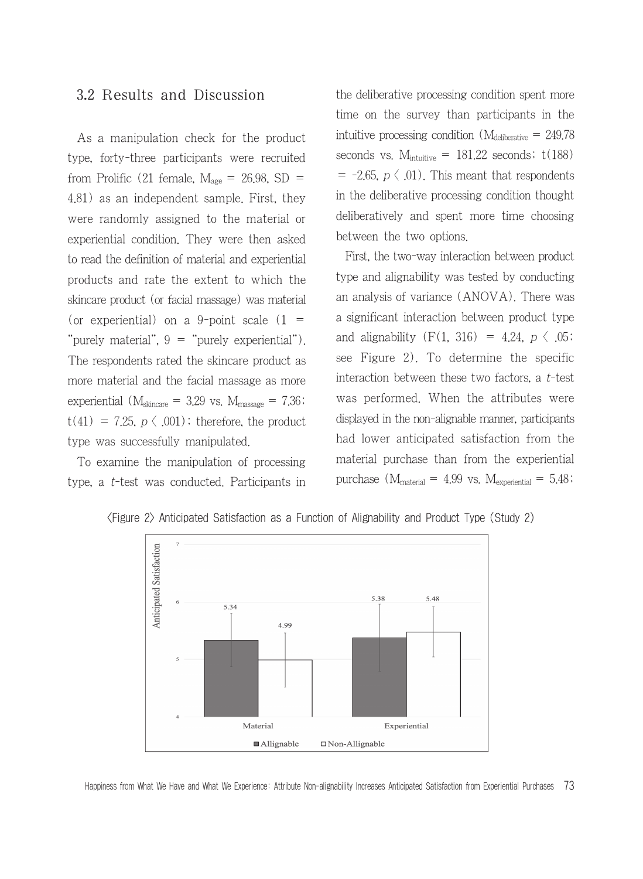#### 3.2 Results and Discussion

As a manipulation check for the product type, forty-three participants were recruited from Prolific (21 female,  $M_{\text{age}} = 26.98$ , SD = 4.81) as an independent sample. First, they were randomly assigned to the material or experiential condition. They were then asked to read the definition of material and experiential products and rate the extent to which the skincare product (or facial massage) was material (or experiential) on a 9-point scale  $(1 =$ "purely material", 9 = "purely experiential"). The respondents rated the skincare product as more material and the facial massage as more experiential ( $M_{\text{skincare}} = 3.29$  vs.  $M_{\text{massage}} = 7.36$ ;  $t(41) = 7.25, p \langle .001 \rangle$ ; therefore, the product type was successfully manipulated.

To examine the manipulation of processing type, a t-test was conducted. Participants in the deliberative processing condition spent more time on the survey than participants in the intuitive processing condition  $(M_{\text{deliberative}} = 249.78)$ seconds vs.  $M_{intuitive} = 181.22$  seconds;  $t(188)$  $= -2.65$ ,  $p \langle .01 \rangle$ . This meant that respondents in the deliberative processing condition thought deliberatively and spent more time choosing between the two options.

First, the two-way interaction between product type and alignability was tested by conducting an analysis of variance (ANOVA). There was a significant interaction between product type and alignability  $(F(1, 316) = 4.24, p \, \langle \, .05;$ see Figure 2). To determine the specific interaction between these two factors, a t-test was performed. When the attributes were displayed in the non-alignable manner, participants had lower anticipated satisfaction from the material purchase than from the experiential purchase  $(M_{\text{material}} = 4.99 \text{ vs. } M_{\text{experimental}} = 5.48$ ;



<Figure 2> Anticipated Satisfaction as a Function of Alignability and Product Type (Study 2)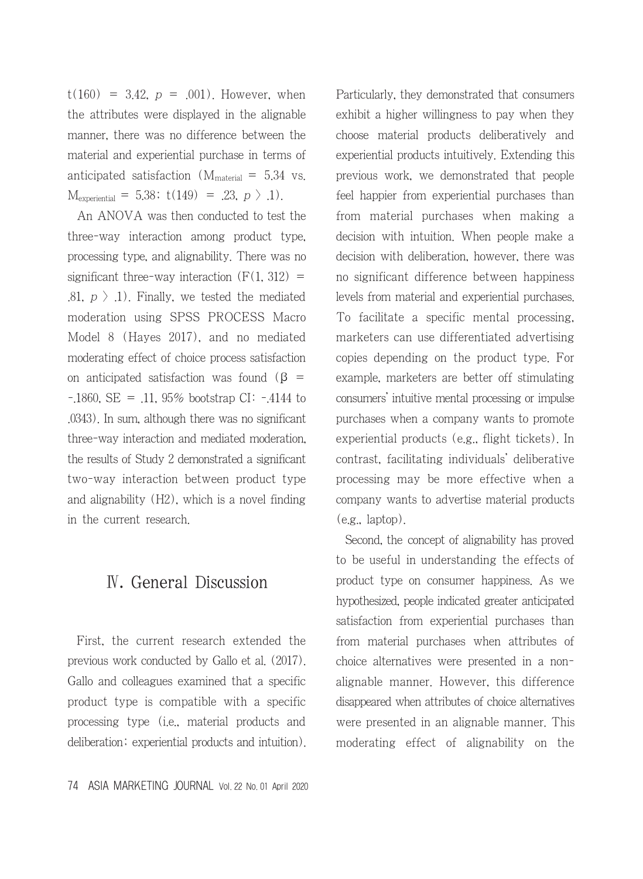$t(160) = 3.42$ ,  $p = .001$ ). However, when the attributes were displayed in the alignable manner, there was no difference between the material and experiential purchase in terms of anticipated satisfaction ( $M_{\text{material}} = 5.34$  vs.  $M_{\text{experimental}} = 5.38$ ;  $t(149) = .23, p > .1$ .

An ANOVA was then conducted to test the three-way interaction among product type, processing type, and alignability. There was no significant three-way interaction  $(F(1, 312))$  = .81,  $p > 1$ ). Finally, we tested the mediated moderation using SPSS PROCESS Macro Model 8 (Hayes 2017), and no mediated moderating effect of choice process satisfaction on anticipated satisfaction was found ( $\beta$  =  $-1860$ , SE =  $.11$ , 95% bootstrap CI:  $-4144$  to .0343). In sum, although there was no significant three-way interaction and mediated moderation, the results of Study 2 demonstrated a significant two-way interaction between product type and alignability (H2), which is a novel finding in the current research.

## Ⅳ. General Discussion

First, the current research extended the previous work conducted by Gallo et al. (2017). Gallo and colleagues examined that a specific product type is compatible with a specific processing type (i.e., material products and deliberation; experiential products and intuition). Particularly, they demonstrated that consumers exhibit a higher willingness to pay when they choose material products deliberatively and experiential products intuitively. Extending this previous work, we demonstrated that people feel happier from experiential purchases than from material purchases when making a decision with intuition. When people make a decision with deliberation, however, there was no significant difference between happiness levels from material and experiential purchases. To facilitate a specific mental processing, marketers can use differentiated advertising copies depending on the product type. For example, marketers are better off stimulating consumers' intuitive mental processing or impulse purchases when a company wants to promote experiential products (e.g., flight tickets). In contrast, facilitating individuals' deliberative processing may be more effective when a company wants to advertise material products (e.g., laptop).

Second, the concept of alignability has proved to be useful in understanding the effects of product type on consumer happiness. As we hypothesized, people indicated greater anticipated satisfaction from experiential purchases than from material purchases when attributes of choice alternatives were presented in a nonalignable manner. However, this difference disappeared when attributes of choice alternatives were presented in an alignable manner. This moderating effect of alignability on the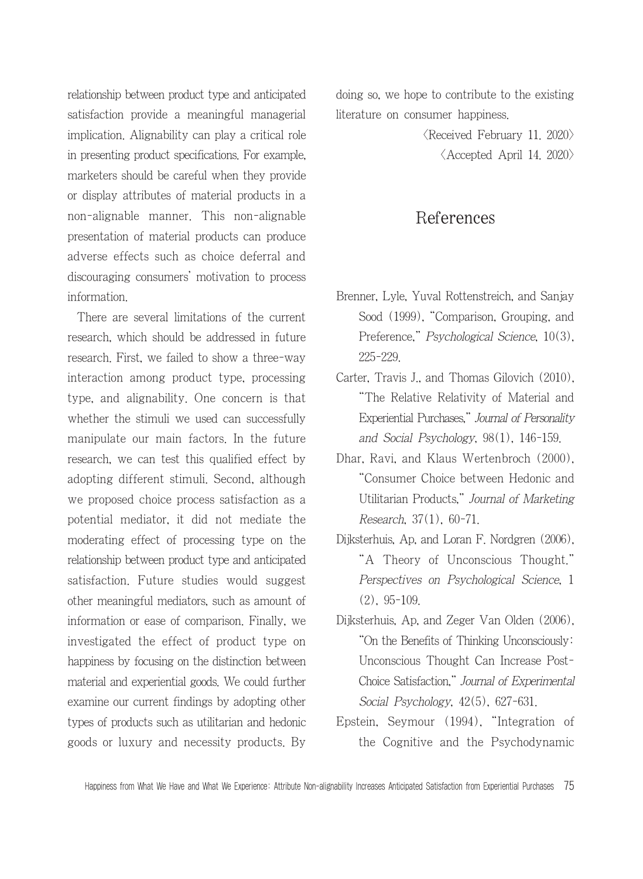relationship between product type and anticipated satisfaction provide a meaningful managerial implication. Alignability can play a critical role in presenting product specifications. For example, marketers should be careful when they provide or display attributes of material products in a non-alignable manner. This non-alignable presentation of material products can produce adverse effects such as choice deferral and discouraging consumers' motivation to process information.

There are several limitations of the current research, which should be addressed in future research. First, we failed to show a three-way interaction among product type, processing type, and alignability. One concern is that whether the stimuli we used can successfully manipulate our main factors. In the future research, we can test this qualified effect by adopting different stimuli. Second, although we proposed choice process satisfaction as a potential mediator, it did not mediate the moderating effect of processing type on the relationship between product type and anticipated satisfaction. Future studies would suggest other meaningful mediators, such as amount of information or ease of comparison. Finally, we investigated the effect of product type on happiness by focusing on the distinction between material and experiential goods. We could further examine our current findings by adopting other types of products such as utilitarian and hedonic goods or luxury and necessity products. By

doing so, we hope to contribute to the existing literature on consumer happiness.

> $\langle$ Received February 11. 2020 $\rangle$  $\langle$  Accepted April 14, 2020 $\rangle$

#### References

- Brenner, Lyle, Yuval Rottenstreich, and Sanjay Sood (1999), "Comparison, Grouping, and Preference," Psychological Science, 10(3), 225-229.
- Carter, Travis J., and Thomas Gilovich (2010), "The Relative Relativity of Material and Experiential Purchases," Journal of Personality and Social Psychology, 98(1), 146-159.
- Dhar, Ravi, and Klaus Wertenbroch (2000), "Consumer Choice between Hedonic and Utilitarian Products," Journal of Marketing Research, 37(1), 60-71.
- Dijksterhuis, Ap, and Loran F. Nordgren (2006), "A Theory of Unconscious Thought." Perspectives on Psychological Science, 1 (2), 95-109.
- Dijksterhuis, Ap, and Zeger Van Olden (2006), "On the Benefits of Thinking Unconsciously: Unconscious Thought Can Increase Post-Choice Satisfaction," Journal of Experimental Social Psychology, 42(5), 627-631.
- Epstein, Seymour (1994), "Integration of the Cognitive and the Psychodynamic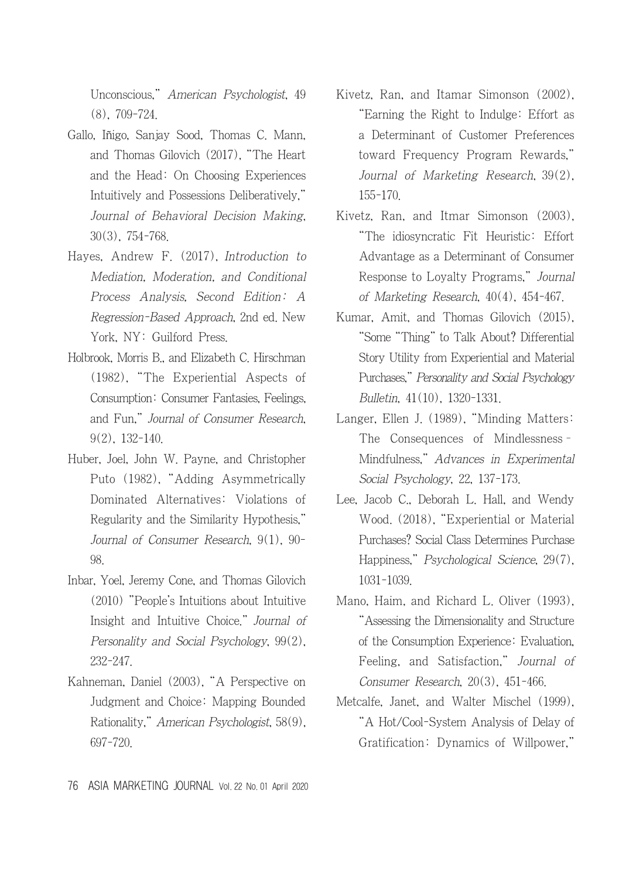Unconscious," American Psychologist, 49 (8), 709-724.

- Gallo, Iñigo, Sanjay Sood, Thomas C. Mann, and Thomas Gilovich (2017), "The Heart and the Head: On Choosing Experiences Intuitively and Possessions Deliberatively," Journal of Behavioral Decision Making, 30(3), 754-768.
- Hayes, Andrew F. (2017), Introduction to Mediation, Moderation, and Conditional Process Analysis, Second Edition: A Regression-Based Approach, 2nd ed. New York, NY: Guilford Press.
- Holbrook, Morris B., and Elizabeth C. Hirschman (1982), "The Experiential Aspects of Consumption: Consumer Fantasies, Feelings, and Fun," Journal of Consumer Research, 9(2), 132-140.
- Huber, Joel, John W. Payne, and Christopher Puto (1982), "Adding Asymmetrically Dominated Alternatives: Violations of Regularity and the Similarity Hypothesis," Journal of Consumer Research, 9(1), 90- 98.
- Inbar, Yoel, Jeremy Cone, and Thomas Gilovich (2010) "People's Intuitions about Intuitive Insight and Intuitive Choice." Journal of Personality and Social Psychology, 99(2), 232-247.
- Kahneman, Daniel (2003), "A Perspective on Judgment and Choice: Mapping Bounded Rationality," American Psychologist, 58(9), 697-720.
- Kivetz, Ran, and Itamar Simonson (2002), "Earning the Right to Indulge: Effort as a Determinant of Customer Preferences toward Frequency Program Rewards," Journal of Marketing Research, 39(2), 155-170.
- Kivetz, Ran, and Itmar Simonson (2003), "The idiosyncratic Fit Heuristic: Effort Advantage as a Determinant of Consumer Response to Loyalty Programs," Journal of Marketing Research, 40(4), 454-467.
- Kumar, Amit, and Thomas Gilovich (2015), "Some "Thing" to Talk About? Differential Story Utility from Experiential and Material Purchases," Personality and Social Psychology Bulletin, 41(10), 1320-1331.
- Langer, Ellen J. (1989), "Minding Matters: The Consequences of Mindlessness– Mindfulness," Advances in Experimental Social Psychology, 22, 137-173.
- Lee, Jacob C., Deborah L. Hall, and Wendy Wood. (2018), "Experiential or Material Purchases? Social Class Determines Purchase Happiness," Psychological Science, 29(7), 1031-1039.
- Mano, Haim, and Richard L. Oliver (1993), "Assessing the Dimensionality and Structure of the Consumption Experience: Evaluation, Feeling, and Satisfaction," Journal of Consumer Research, 20(3), 451-466.
- Metcalfe, Janet, and Walter Mischel (1999), "A Hot/Cool-System Analysis of Delay of Gratification: Dynamics of Willpower,"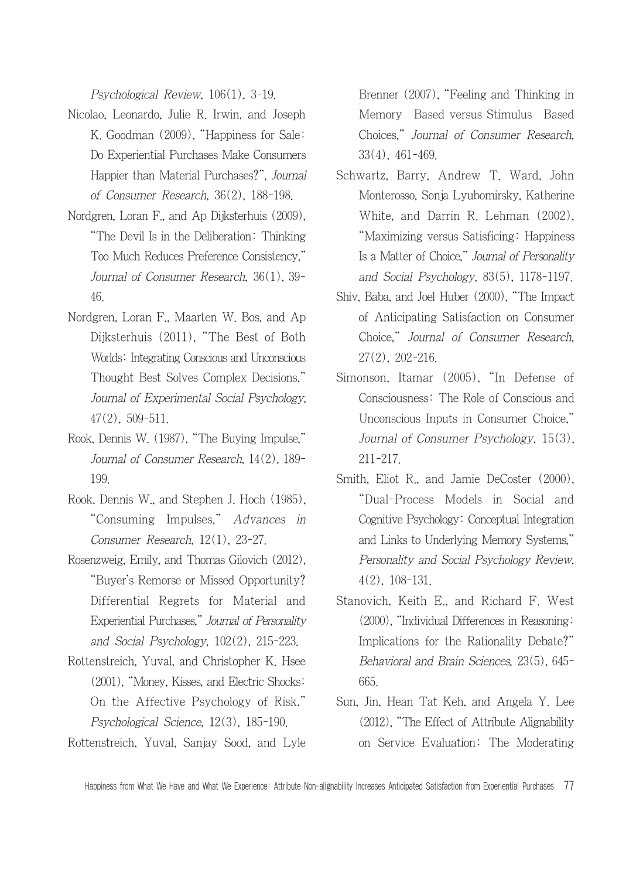Psychological Review, 106(1), 3-19.

- Nicolao, Leonardo, Julie R. Irwin, and Joseph K. Goodman (2009), "Happiness for Sale: Do Experiential Purchases Make Consumers Happier than Material Purchases?", Journal of Consumer Research, 36(2), 188-198.
- Nordgren, Loran F., and Ap Dijksterhuis (2009), "The Devil Is in the Deliberation: Thinking Too Much Reduces Preference Consistency," Journal of Consumer Research, 36(1), 39- 46.
- Nordgren, Loran F., Maarten W. Bos, and Ap Dijksterhuis (2011), "The Best of Both Worlds: Integrating Conscious and Unconscious Thought Best Solves Complex Decisions," Journal of Experimental Social Psychology, 47(2), 509-511.
- Rook, Dennis W. (1987), "The Buying Impulse," Journal of Consumer Research, 14(2), 189- 199.
- Rook, Dennis W., and Stephen J. Hoch (1985), "Consuming Impulses," Advances in Consumer Research, 12(1), 23-27.
- Rosenzweig, Emily, and Thomas Gilovich (2012), "Buyer's Remorse or Missed Opportunity? Differential Regrets for Material and Experiential Purchases," Journal of Personality and Social Psychology, 102(2), 215-223.
- Rottenstreich, Yuval, and Christopher K. Hsee (2001), "Money, Kisses, and Electric Shocks: On the Affective Psychology of Risk," Psychological Science, 12(3), 185-190.
- Rottenstreich, Yuval, Sanjay Sood, and Lyle

Brenner (2007), "Feeling and Thinking in Memory Based versus Stimulus Based Choices," Journal of Consumer Research, 33(4), 461-469.

- Schwartz, Barry, Andrew T. Ward, John Monterosso, Sonja Lyubomirsky, Katherine White, and Darrin R. Lehman (2002), "Maximizing versus Satisficing: Happiness Is a Matter of Choice," Journal of Personality and Social Psychology, 83(5), 1178-1197.
- Shiv, Baba, and Joel Huber (2000), "The Impact of Anticipating Satisfaction on Consumer Choice," Journal of Consumer Research, 27(2), 202-216.
- Simonson, Itamar (2005), "In Defense of Consciousness: The Role of Conscious and Unconscious Inputs in Consumer Choice," Journal of Consumer Psychology, 15(3), 211-217.
- Smith, Eliot R., and Jamie DeCoster (2000), "Dual-Process Models in Social and Cognitive Psychology: Conceptual Integration and Links to Underlying Memory Systems," Personality and Social Psychology Review, 4(2), 108-131.
- Stanovich, Keith E., and Richard F. West (2000), "Individual Differences in Reasoning: Implications for the Rationality Debate?" Behavioral and Brain Sciences, 23(5), 645- 665.
- Sun, Jin, Hean Tat Keh, and Angela Y. Lee (2012), "The Effect of Attribute Alignability on Service Evaluation: The Moderating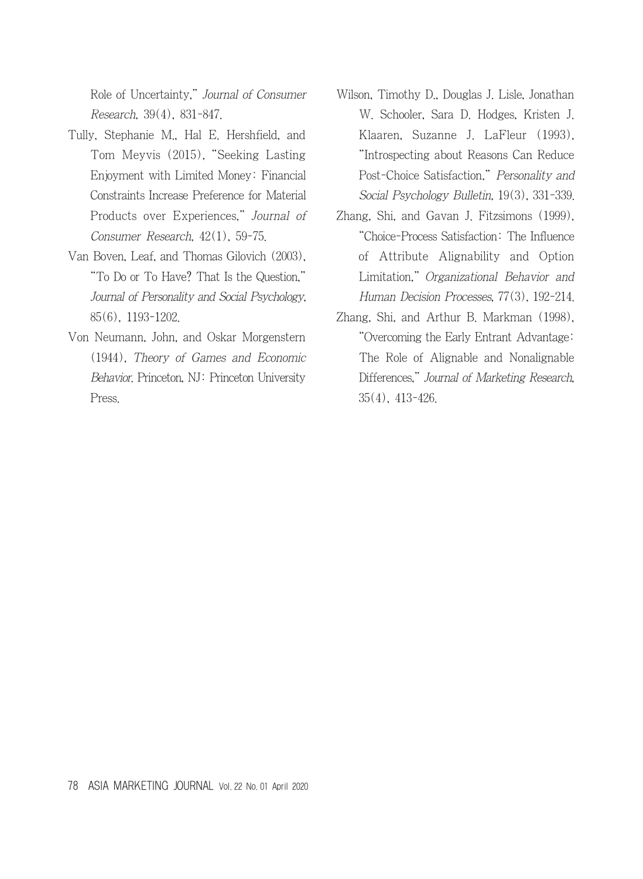Role of Uncertainty," Journal of Consumer Research, 39(4), 831-847.

- Tully, Stephanie M., Hal E. Hershfield, and Tom Meyvis (2015), "Seeking Lasting Enjoyment with Limited Money: Financial Constraints Increase Preference for Material Products over Experiences," Journal of Consumer Research, 42(1), 59-75.
- Van Boven, Leaf, and Thomas Gilovich (2003), "To Do or To Have? That Is the Question," Journal of Personality and Social Psychology, 85(6), 1193-1202.
- Von Neumann, John, and Oskar Morgenstern (1944), Theory of Games and Economic Behavior. Princeton, NJ: Princeton University Press.
- Wilson, Timothy D., Douglas J. Lisle, Jonathan W. Schooler, Sara D. Hodges, Kristen J. Klaaren, Suzanne J. LaFleur (1993), "Introspecting about Reasons Can Reduce Post-Choice Satisfaction," Personality and Social Psychology Bulletin, 19(3), 331-339.
- Zhang, Shi, and Gavan J. Fitzsimons (1999), "Choice-Process Satisfaction: The Influence of Attribute Alignability and Option Limitation," Organizational Behavior and Human Decision Processes, 77(3), 192-214.
- Zhang, Shi, and Arthur B. Markman (1998), "Overcoming the Early Entrant Advantage: The Role of Alignable and Nonalignable Differences," Journal of Marketing Research, 35(4), 413-426.